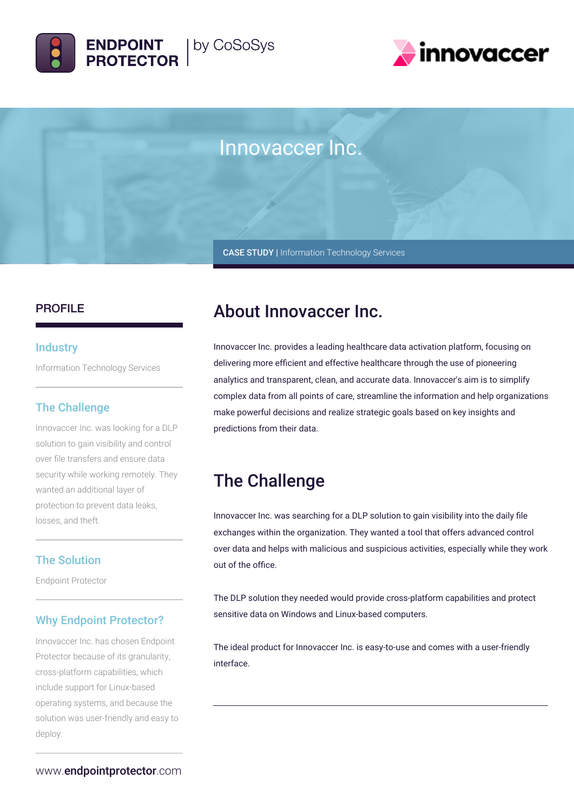



# Innovaccer Inc.

CASE STUDY | Information Technology Services

### PROFILE

### **Industry**

Information Technology Services

### The Challenge

Innovaccer Inc. was looking for a DLP solution to gain visibility and control over file transfers and ensure data security while working remotely. They wanted an additional layer of protection to prevent data leaks, losses, and theft.

### The Solution

Endpoint Protector

### Why Endpoint Protector?

Innovaccer Inc. has chosen Endpoint Protector because of its granularity, cross-platform capabilities, which include support for Linux-based operating systems, and because the solution was user-friendly and easy to deploy.

# About Innovaccer Inc.

Innovaccer Inc. provides a leading healthcare data activation platform, focusing on delivering more efficient and effective healthcare through the use of pioneering analytics and transparent, clean, and accurate data. Innovaccer's aim is to simplify complex data from all points of care, streamline the information and help organizations make powerful decisions and realize strategic goals based on key insights and predictions from their data.

# The Challenge

Innovaccer Inc. was searching for a DLP solution to gain visibility into the daily file exchanges within the organization. They wanted a tool that offers advanced control over data and helps with malicious and suspicious activities, especially while they work out of the office.

The DLP solution they needed would provide cross-platform capabilities and protect sensitive data on Windows and Linux-based computers.

The ideal product for Innovaccer Inc. is easy-to-use and comes with a user-friendly interface.